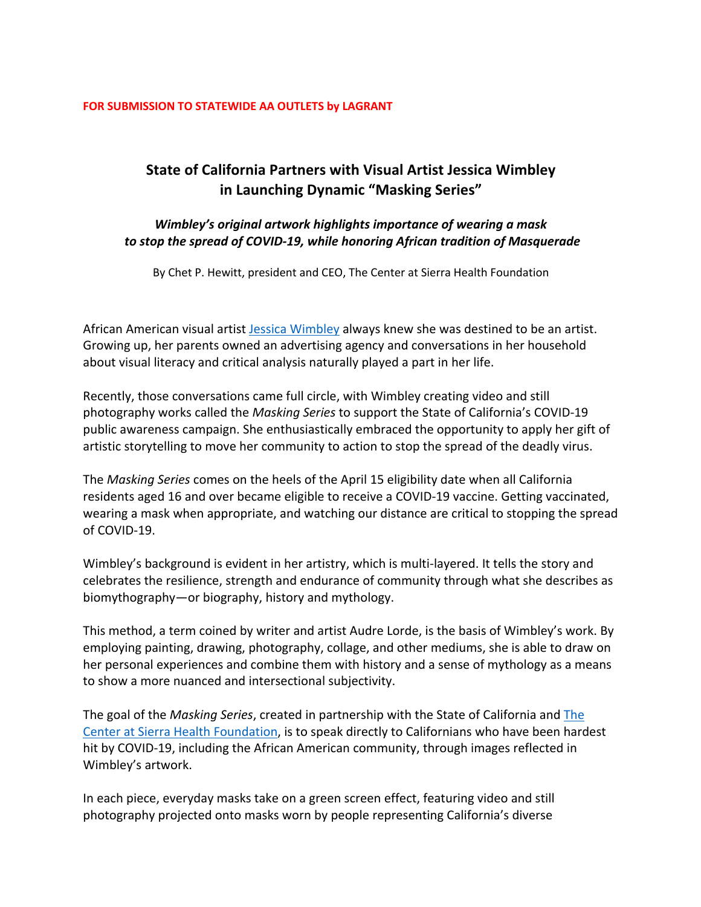## **FOR SUBMISSION TO STATEWIDE AA OUTLETS by LAGRANT**

## **State of California Partners with Visual Artist Jessica Wimbley in Launching Dynamic "Masking Series"**

## *Wimbley's original artwork highlights importance of wearing a mask to stop the spread of COVID-19, while honoring African tradition of Masquerade*

By Chet P. Hewitt, president and CEO, The Center at Sierra Health Foundation

African American visual artist Jessica Wimbley always knew she was destined to be an artist. Growing up, her parents owned an advertising agency and conversations in her household about visual literacy and critical analysis naturally played a part in her life.

Recently, those conversations came full circle, with Wimbley creating video and still photography works called the *Masking Series* to support the State of California's COVID-19 public awareness campaign. She enthusiastically embraced the opportunity to apply her gift of artistic storytelling to move her community to action to stop the spread of the deadly virus.

The *Masking Series* comes on the heels of the April 15 eligibility date when all California residents aged 16 and over became eligible to receive a COVID-19 vaccine. Getting vaccinated, wearing a mask when appropriate, and watching our distance are critical to stopping the spread of COVID-19.

Wimbley's background is evident in her artistry, which is multi-layered. It tells the story and celebrates the resilience, strength and endurance of community through what she describes as biomythography—or biography, history and mythology.

This method, a term coined by writer and artist Audre Lorde, is the basis of Wimbley's work. By employing painting, drawing, photography, collage, and other mediums, she is able to draw on her personal experiences and combine them with history and a sense of mythology as a means to show a more nuanced and intersectional subjectivity.

The goal of the *Masking Series*, created in partnership with the State of California and The Center at Sierra Health Foundation, is to speak directly to Californians who have been hardest hit by COVID-19, including the African American community, through images reflected in Wimbley's artwork.

In each piece, everyday masks take on a green screen effect, featuring video and still photography projected onto masks worn by people representing California's diverse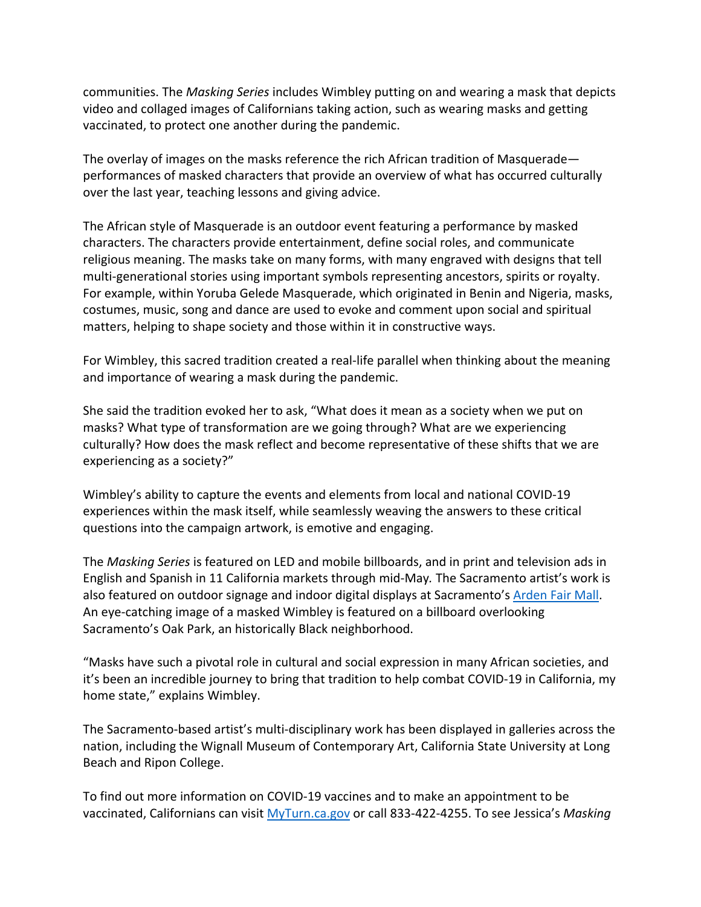communities. The *Masking Series* includes Wimbley putting on and wearing a mask that depicts video and collaged images of Californians taking action, such as wearing masks and getting vaccinated, to protect one another during the pandemic.

The overlay of images on the masks reference the rich African tradition of Masquerade performances of masked characters that provide an overview of what has occurred culturally over the last year, teaching lessons and giving advice.

The African style of Masquerade is an outdoor event featuring a performance by masked characters. The characters provide entertainment, define social roles, and communicate religious meaning. The masks take on many forms, with many engraved with designs that tell multi-generational stories using important symbols representing ancestors, spirits or royalty. For example, within Yoruba Gelede Masquerade, which originated in Benin and Nigeria, masks, costumes, music, song and dance are used to evoke and comment upon social and spiritual matters, helping to shape society and those within it in constructive ways. 

For Wimbley, this sacred tradition created a real-life parallel when thinking about the meaning and importance of wearing a mask during the pandemic.

She said the tradition evoked her to ask, "What does it mean as a society when we put on masks? What type of transformation are we going through? What are we experiencing culturally? How does the mask reflect and become representative of these shifts that we are experiencing as a society?"

Wimbley's ability to capture the events and elements from local and national COVID-19 experiences within the mask itself, while seamlessly weaving the answers to these critical questions into the campaign artwork, is emotive and engaging.

The *Masking Series* is featured on LED and mobile billboards, and in print and television ads in English and Spanish in 11 California markets through mid-May*.* The Sacramento artist's work is also featured on outdoor signage and indoor digital displays at Sacramento's Arden Fair Mall. An eye-catching image of a masked Wimbley is featured on a billboard overlooking Sacramento's Oak Park, an historically Black neighborhood.

"Masks have such a pivotal role in cultural and social expression in many African societies, and it's been an incredible journey to bring that tradition to help combat COVID-19 in California, my home state," explains Wimbley.

The Sacramento-based artist's multi-disciplinary work has been displayed in galleries across the nation, including the Wignall Museum of Contemporary Art, California State University at Long Beach and Ripon College.

To find out more information on COVID-19 vaccines and to make an appointment to be vaccinated, Californians can visit MyTurn.ca.gov or call 833-422-4255. To see Jessica's *Masking*